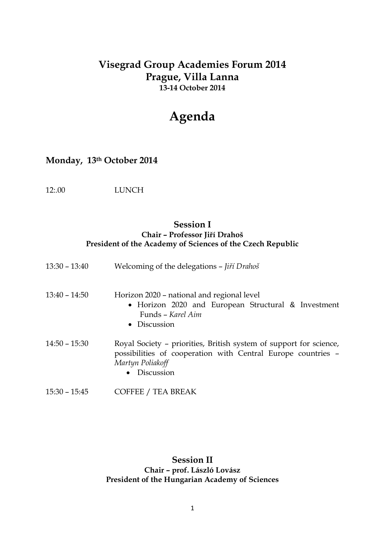# **Visegrad Group Academies Forum 2014 Prague, Villa Lanna 13-14 October 2014**

# **Agenda**

**Monday, 13th October 2014**

12:.00 LUNCH

## **Session I Chair – Professor Jiří Drahoš President of the Academy of Sciences of the Czech Republic**

| $13:30 - 13:40$ | Welcoming of the delegations - Jiří Drahoš                                                                                                                                  |
|-----------------|-----------------------------------------------------------------------------------------------------------------------------------------------------------------------------|
| $13:40 - 14:50$ | Horizon 2020 – national and regional level<br>• Horizon 2020 and European Structural & Investment<br>Funds – Karel Aim<br>• Discussion                                      |
| $14:50 - 15:30$ | Royal Society – priorities, British system of support for science,<br>possibilities of cooperation with Central Europe countries -<br>Martyn Poliakoff<br><b>Discussion</b> |
| $15:30 - 15:45$ | <b>COFFEE / TEA BREAK</b>                                                                                                                                                   |

### **Session II Chair – prof. László Lovász President of the Hungarian Academy of Sciences**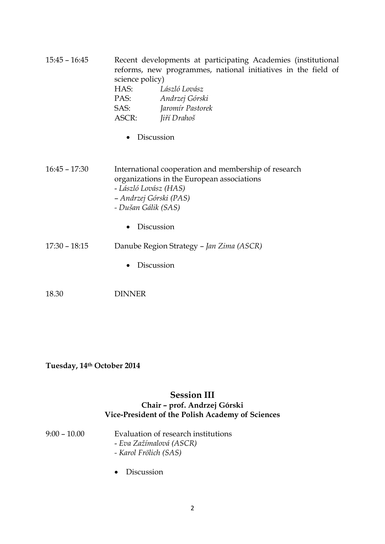| $15:45 - 16:45$ | Recent developments at participating Academies (institutional |
|-----------------|---------------------------------------------------------------|
|                 | reforms, new programmes, national initiatives in the field of |
|                 | science policy)                                               |
|                 |                                                               |

| HAS:  | László Lovász    |
|-------|------------------|
| PAS:  | Andrzej Górski   |
| SAS:  | Jaromír Pastorek |
| ASCR: | Jiří Drahoš      |

• Discussion

16:45 – 17:30 International cooperation and membership of research organizations in the European associations - *László Lovász (HAS)* – *Andrzej Górski (PAS) - Dušan Gálik (SAS)*

- Discussion
- 17:30 18:15 Danube Region Strategy *Jan Zima (ASCR)*
	- Discussion
- 18.30 DINNER

**Tuesday, 14th October 2014**

### **Session III Chair – prof. Andrzej Górski Vice-President of the Polish Academy of Sciences**

| $9:00 - 10.00$ | Evaluation of research institutions                                                                                                                                                                                                                                                                                                                                                                                                                                                        |
|----------------|--------------------------------------------------------------------------------------------------------------------------------------------------------------------------------------------------------------------------------------------------------------------------------------------------------------------------------------------------------------------------------------------------------------------------------------------------------------------------------------------|
|                | - Eva Zažímalová (ASCR)                                                                                                                                                                                                                                                                                                                                                                                                                                                                    |
|                | $\blacksquare$ $\blacksquare$ $\blacksquare$ $\blacksquare$ $\blacksquare$ $\blacksquare$ $\blacksquare$ $\blacksquare$ $\blacksquare$ $\blacksquare$ $\blacksquare$ $\blacksquare$ $\blacksquare$ $\blacksquare$ $\blacksquare$ $\blacksquare$ $\blacksquare$ $\blacksquare$ $\blacksquare$ $\blacksquare$ $\blacksquare$ $\blacksquare$ $\blacksquare$ $\blacksquare$ $\blacksquare$ $\blacksquare$ $\blacksquare$ $\blacksquare$ $\blacksquare$ $\blacksquare$ $\blacksquare$ $\blacks$ |

- *- Karol Frölich (SAS)*
- Discussion